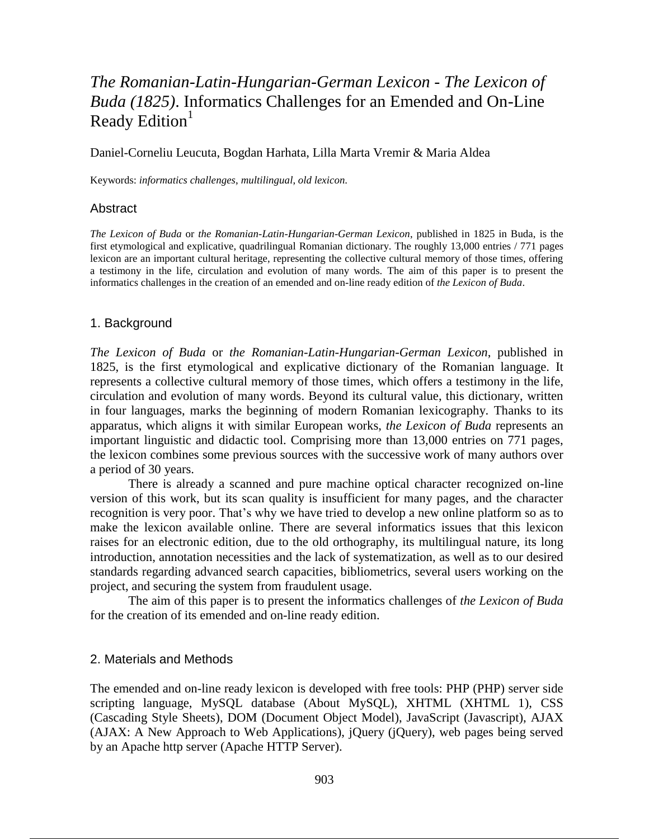# *The Romanian-Latin-Hungarian-German Lexicon* - *The Lexicon of Buda (1825)*. Informatics Challenges for an Emended and On-Line Ready Edition $1$

Daniel-Corneliu Leucuta, Bogdan Harhata, Lilla Marta Vremir & Maria Aldea

Keywords: *informatics challenges*, *multilingual*, *old lexicon*.

### **Abstract**

*The Lexicon of Buda* or *the Romanian-Latin-Hungarian-German Lexicon*, published in 1825 in Buda, is the first etymological and explicative, quadrilingual Romanian dictionary. The roughly 13,000 entries / 771 pages lexicon are an important cultural heritage, representing the collective cultural memory of those times, offering a testimony in the life, circulation and evolution of many words. The aim of this paper is to present the informatics challenges in the creation of an emended and on-line ready edition of *the Lexicon of Buda*.

#### 1. Background

*The Lexicon of Buda* or *the Romanian-Latin-Hungarian-German Lexicon*, published in 1825, is the first etymological and explicative dictionary of the Romanian language. It represents a collective cultural memory of those times, which offers a testimony in the life, circulation and evolution of many words. Beyond its cultural value, this dictionary, written in four languages, marks the beginning of modern Romanian lexicography. Thanks to its apparatus, which aligns it with similar European works, *the Lexicon of Buda* represents an important linguistic and didactic tool. Comprising more than 13,000 entries on 771 pages, the lexicon combines some previous sources with the successive work of many authors over a period of 30 years.

There is already a scanned and pure machine optical character recognized on-line version of this work, but its scan quality is insufficient for many pages, and the character recognition is very poor. That's why we have tried to develop a new online platform so as to make the lexicon available online. There are several informatics issues that this lexicon raises for an electronic edition, due to the old orthography, its multilingual nature, its long introduction, annotation necessities and the lack of systematization, as well as to our desired standards regarding advanced search capacities, bibliometrics, several users working on the project, and securing the system from fraudulent usage.

The aim of this paper is to present the informatics challenges of *the Lexicon of Buda* for the creation of its emended and on-line ready edition.

#### 2. Materials and Methods

The emended and on-line ready lexicon is developed with free tools: PHP (PHP) server side scripting language, MySQL database (About MySQL), XHTML (XHTML 1), CSS (Cascading Style Sheets), DOM (Document Object Model), JavaScript (Javascript), AJAX (AJAX: A New Approach to Web Applications), jQuery (jQuery), web pages being served by an Apache http server (Apache HTTP Server).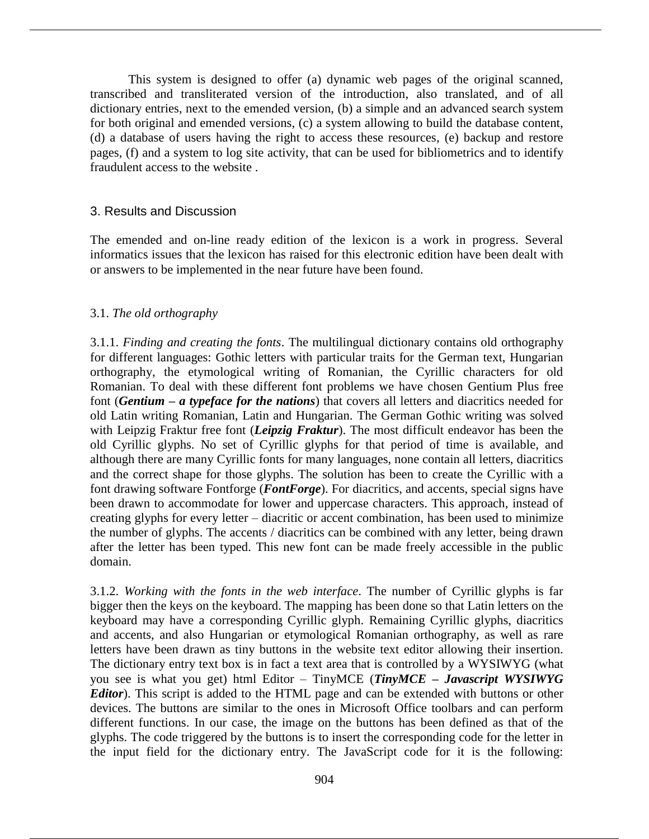This system is designed to offer (a) dynamic web pages of the original scanned, transcribed and transliterated version of the introduction, also translated, and of all dictionary entries, next to the emended version, (b) a simple and an advanced search system for both original and emended versions, (c) a system allowing to build the database content, (d) a database of users having the right to access these resources, (e) backup and restore pages, (f) and a system to log site activity, that can be used for bibliometrics and to identify fraudulent access to the website .

### 3. Results and Discussion

The emended and on-line ready edition of the lexicon is a work in progress. Several informatics issues that the lexicon has raised for this electronic edition have been dealt with or answers to be implemented in the near future have been found.

## 3.1. *The old orthography*

3.1.1. *Finding and creating the fonts*. The multilingual dictionary contains old orthography for different languages: Gothic letters with particular traits for the German text, Hungarian orthography, the etymological writing of Romanian, the Cyrillic characters for old Romanian. To deal with these different font problems we have chosen Gentium Plus free font (*Gentium – a typeface for the nations*) that covers all letters and diacritics needed for old Latin writing Romanian, Latin and Hungarian. The German Gothic writing was solved with Leipzig Fraktur free font (*Leipzig Fraktur*). The most difficult endeavor has been the old Cyrillic glyphs. No set of Cyrillic glyphs for that period of time is available, and although there are many Cyrillic fonts for many languages, none contain all letters, diacritics and the correct shape for those glyphs. The solution has been to create the Cyrillic with a font drawing software Fontforge (*FontForge*). For diacritics, and accents, special signs have been drawn to accommodate for lower and uppercase characters. This approach, instead of creating glyphs for every letter – diacritic or accent combination, has been used to minimize the number of glyphs. The accents / diacritics can be combined with any letter, being drawn after the letter has been typed. This new font can be made freely accessible in the public domain.

3.1.2. *Working with the fonts in the web interface*. The number of Cyrillic glyphs is far bigger then the keys on the keyboard. The mapping has been done so that Latin letters on the keyboard may have a corresponding Cyrillic glyph. Remaining Cyrillic glyphs, diacritics and accents, and also Hungarian or etymological Romanian orthography, as well as rare letters have been drawn as tiny buttons in the website text editor allowing their insertion. The dictionary entry text box is in fact a text area that is controlled by a WYSIWYG (what you see is what you get) html Editor – TinyMCE (*TinyMCE – Javascript WYSIWYG Editor*). This script is added to the HTML page and can be extended with buttons or other devices. The buttons are similar to the ones in Microsoft Office toolbars and can perform different functions. In our case, the image on the buttons has been defined as that of the glyphs. The code triggered by the buttons is to insert the corresponding code for the letter in the input field for the dictionary entry. The JavaScript code for it is the following: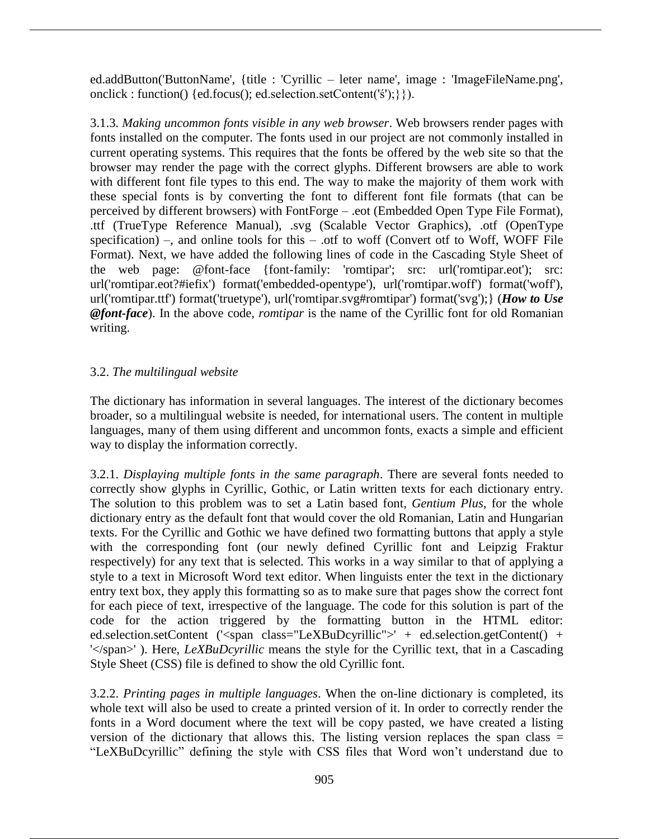ed.addButton('ButtonName', {title : 'Cyrillic – leter name', image : 'ImageFileName.png', onclick : function() {ed.focus(); ed.selection.setContent('ś');}}).

3.1.3. *Making uncommon fonts visible in any web browser*. Web browsers render pages with fonts installed on the computer. The fonts used in our project are not commonly installed in current operating systems. This requires that the fonts be offered by the web site so that the browser may render the page with the correct glyphs. Different browsers are able to work with different font file types to this end. The way to make the majority of them work with these special fonts is by converting the font to different font file formats (that can be perceived by different browsers) with FontForge – .eot (Embedded Open Type File Format), .ttf (TrueType Reference Manual), .svg (Scalable Vector Graphics), .otf (OpenType specification) –, and online tools for this – .otf to woff (Convert otf to Woff, WOFF File Format). Next, we have added the following lines of code in the Cascading Style Sheet of the web page: @font-face {font-family: 'romtipar'; src: url('romtipar.eot'); src: url('romtipar.eot?#iefix') format('embedded-opentype'), url('romtipar.woff') format('woff'), url('romtipar.ttf') format('truetype'), url('romtipar.svg#romtipar') format('svg');} (*How to Use @font-face*). In the above code, *romtipar* is the name of the Cyrillic font for old Romanian writing.

# 3.2. *The multilingual website*

The dictionary has information in several languages. The interest of the dictionary becomes broader, so a multilingual website is needed, for international users. The content in multiple languages, many of them using different and uncommon fonts, exacts a simple and efficient way to display the information correctly.

3.2.1. *Displaying multiple fonts in the same paragraph*. There are several fonts needed to correctly show glyphs in Cyrillic, Gothic, or Latin written texts for each dictionary entry. The solution to this problem was to set a Latin based font, *Gentium Plus*, for the whole dictionary entry as the default font that would cover the old Romanian, Latin and Hungarian texts. For the Cyrillic and Gothic we have defined two formatting buttons that apply a style with the corresponding font (our newly defined Cyrillic font and Leipzig Fraktur respectively) for any text that is selected. This works in a way similar to that of applying a style to a text in Microsoft Word text editor. When linguists enter the text in the dictionary entry text box, they apply this formatting so as to make sure that pages show the correct font for each piece of text, irrespective of the language. The code for this solution is part of the code for the action triggered by the formatting button in the HTML editor: ed.selection.setContent ('<span class="LeXBuDcyrillic">' + ed.selection.getContent() + '</span>' ). Here, *LeXBuDcyrillic* means the style for the Cyrillic text, that in a Cascading Style Sheet (CSS) file is defined to show the old Cyrillic font.

3.2.2. *Printing pages in multiple languages*. When the on-line dictionary is completed, its whole text will also be used to create a printed version of it. In order to correctly render the fonts in a Word document where the text will be copy pasted, we have created a listing version of the dictionary that allows this. The listing version replaces the span class = "LeXBuDcyrillic" defining the style with CSS files that Word won't understand due to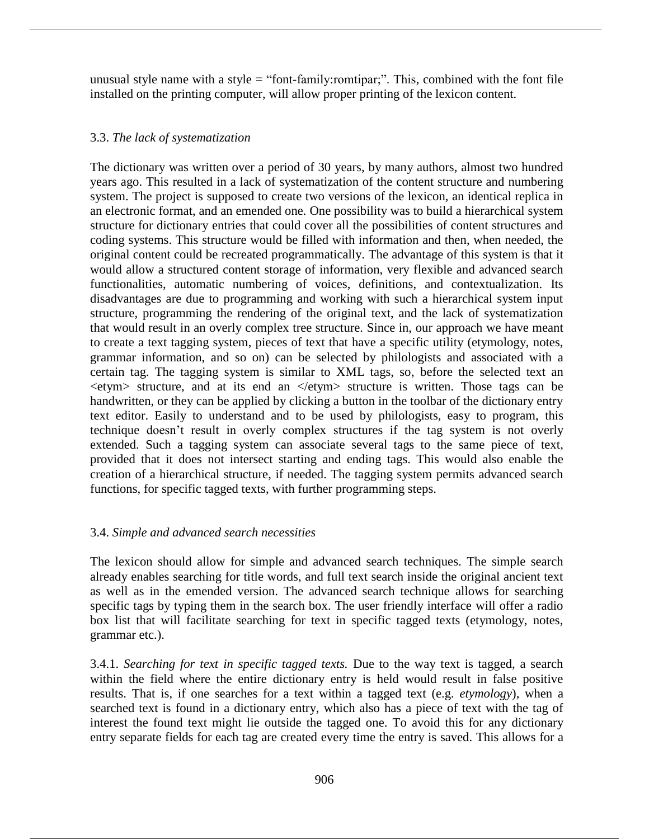unusual style name with a style  $=$  "font-family: romtipar;". This, combined with the font file installed on the printing computer, will allow proper printing of the lexicon content.

# 3.3. *The lack of systematization*

The dictionary was written over a period of 30 years, by many authors, almost two hundred years ago. This resulted in a lack of systematization of the content structure and numbering system. The project is supposed to create two versions of the lexicon, an identical replica in an electronic format, and an emended one. One possibility was to build a hierarchical system structure for dictionary entries that could cover all the possibilities of content structures and coding systems. This structure would be filled with information and then, when needed, the original content could be recreated programmatically. The advantage of this system is that it would allow a structured content storage of information, very flexible and advanced search functionalities, automatic numbering of voices, definitions, and contextualization. Its disadvantages are due to programming and working with such a hierarchical system input structure, programming the rendering of the original text, and the lack of systematization that would result in an overly complex tree structure. Since in, our approach we have meant to create a text tagging system, pieces of text that have a specific utility (etymology, notes, grammar information, and so on) can be selected by philologists and associated with a certain tag. The tagging system is similar to XML tags, so, before the selected text an  $\leq$ etym $>$  structure, and at its end an  $\leq$ /etym $>$  structure is written. Those tags can be handwritten, or they can be applied by clicking a button in the toolbar of the dictionary entry text editor. Easily to understand and to be used by philologists, easy to program, this technique doesn't result in overly complex structures if the tag system is not overly extended. Such a tagging system can associate several tags to the same piece of text, provided that it does not intersect starting and ending tags. This would also enable the creation of a hierarchical structure, if needed. The tagging system permits advanced search functions, for specific tagged texts, with further programming steps.

# 3.4. *Simple and advanced search necessities*

The lexicon should allow for simple and advanced search techniques. The simple search already enables searching for title words, and full text search inside the original ancient text as well as in the emended version. The advanced search technique allows for searching specific tags by typing them in the search box. The user friendly interface will offer a radio box list that will facilitate searching for text in specific tagged texts (etymology, notes, grammar etc.).

3.4.1. *Searching for text in specific tagged texts.* Due to the way text is tagged, a search within the field where the entire dictionary entry is held would result in false positive results. That is, if one searches for a text within a tagged text (e.g. *etymology*), when a searched text is found in a dictionary entry, which also has a piece of text with the tag of interest the found text might lie outside the tagged one. To avoid this for any dictionary entry separate fields for each tag are created every time the entry is saved. This allows for a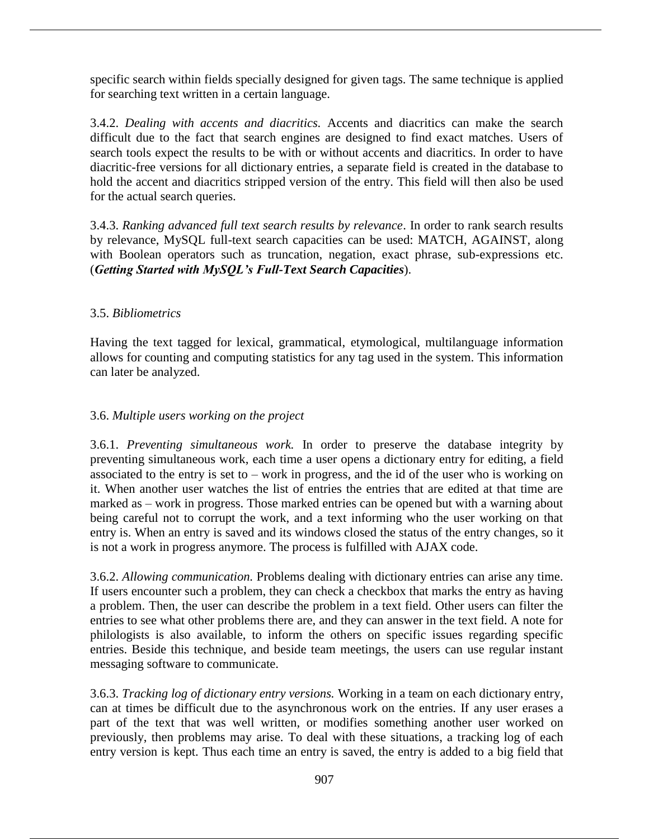specific search within fields specially designed for given tags. The same technique is applied for searching text written in a certain language.

3.4.2. *Dealing with accents and diacritics.* Accents and diacritics can make the search difficult due to the fact that search engines are designed to find exact matches. Users of search tools expect the results to be with or without accents and diacritics. In order to have diacritic-free versions for all dictionary entries, a separate field is created in the database to hold the accent and diacritics stripped version of the entry. This field will then also be used for the actual search queries.

3.4.3. *Ranking advanced full text search results by relevance*. In order to rank search results by relevance, MySQL full-text search capacities can be used: MATCH, AGAINST, along with Boolean operators such as truncation, negation, exact phrase, sub-expressions etc. (*Getting Started with MySQL's Full-Text Search Capacities*).

# 3.5. *Bibliometrics*

Having the text tagged for lexical, grammatical, etymological, multilanguage information allows for counting and computing statistics for any tag used in the system. This information can later be analyzed.

# 3.6. *Multiple users working on the project*

3.6.1. *Preventing simultaneous work.* In order to preserve the database integrity by preventing simultaneous work, each time a user opens a dictionary entry for editing, a field associated to the entry is set to – work in progress, and the id of the user who is working on it. When another user watches the list of entries the entries that are edited at that time are marked as – work in progress. Those marked entries can be opened but with a warning about being careful not to corrupt the work, and a text informing who the user working on that entry is. When an entry is saved and its windows closed the status of the entry changes, so it is not a work in progress anymore. The process is fulfilled with AJAX code.

3.6.2. *Allowing communication.* Problems dealing with dictionary entries can arise any time. If users encounter such a problem, they can check a checkbox that marks the entry as having a problem. Then, the user can describe the problem in a text field. Other users can filter the entries to see what other problems there are, and they can answer in the text field. A note for philologists is also available, to inform the others on specific issues regarding specific entries. Beside this technique, and beside team meetings, the users can use regular instant messaging software to communicate.

3.6.3. *Tracking log of dictionary entry versions.* Working in a team on each dictionary entry, can at times be difficult due to the asynchronous work on the entries. If any user erases a part of the text that was well written, or modifies something another user worked on previously, then problems may arise. To deal with these situations, a tracking log of each entry version is kept. Thus each time an entry is saved, the entry is added to a big field that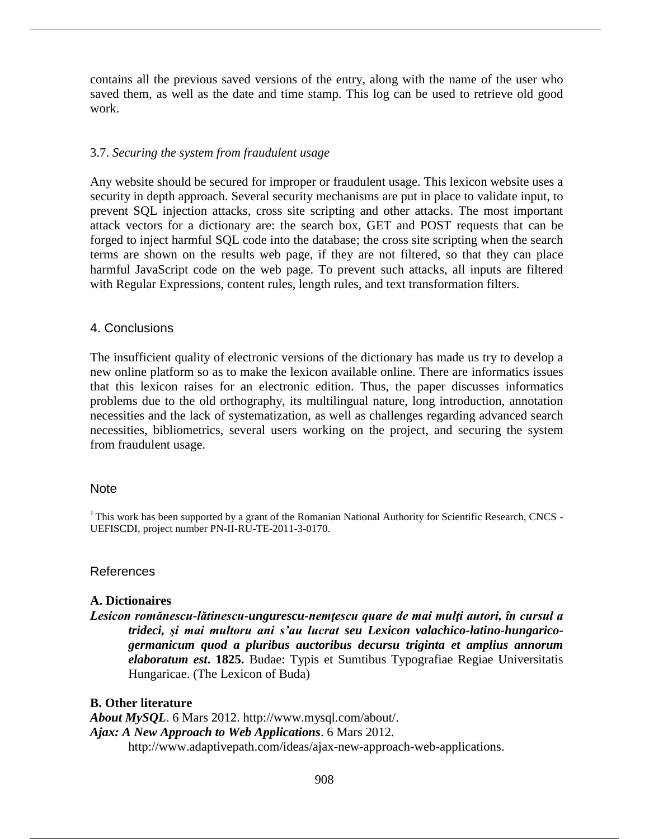contains all the previous saved versions of the entry, along with the name of the user who saved them, as well as the date and time stamp. This log can be used to retrieve old good work.

### 3.7. *Securing the system from fraudulent usage*

Any website should be secured for improper or fraudulent usage. This lexicon website uses a security in depth approach. Several security mechanisms are put in place to validate input, to prevent SQL injection attacks, cross site scripting and other attacks. The most important attack vectors for a dictionary are: the search box, GET and POST requests that can be forged to inject harmful SQL code into the database; the cross site scripting when the search terms are shown on the results web page, if they are not filtered, so that they can place harmful JavaScript code on the web page. To prevent such attacks, all inputs are filtered with Regular Expressions, content rules, length rules, and text transformation filters.

#### 4. Conclusions

The insufficient quality of electronic versions of the dictionary has made us try to develop a new online platform so as to make the lexicon available online. There are informatics issues that this lexicon raises for an electronic edition. Thus, the paper discusses informatics problems due to the old orthography, its multilingual nature, long introduction, annotation necessities and the lack of systematization, as well as challenges regarding advanced search necessities, bibliometrics, several users working on the project, and securing the system from fraudulent usage.

## Note

 $1$ <sup>1</sup>This work has been supported by a grant of the Romanian National Authority for Scientific Research, CNCS -UEFISCDI, project number PN-II-RU-TE-2011-3-0170.

### References

### **A. Dictionaires**

*Lesicon romănescu-lătinescu-ungurescu-nemţescu quare de mai mulţi autori, în cursul a trideci, şi mai multoru ani s'au lucrat seu Lexicon valachico-latino-hungaricogermanicum quod a pluribus auctoribus decursu triginta et amplius annorum elaboratum est***. 1825.** Budae: Typis et Sumtibus Typografiae Regiae Universitatis Hungaricae. (The Lexicon of Buda)

### **B. Other literature**

*About MySQL*. 6 Mars 2012. http://www.mysql.com/about/. *Ajax: A New Approach to Web Applications*. 6 Mars 2012. http://www.adaptivepath.com/ideas/ajax-new-approach-web-applications.